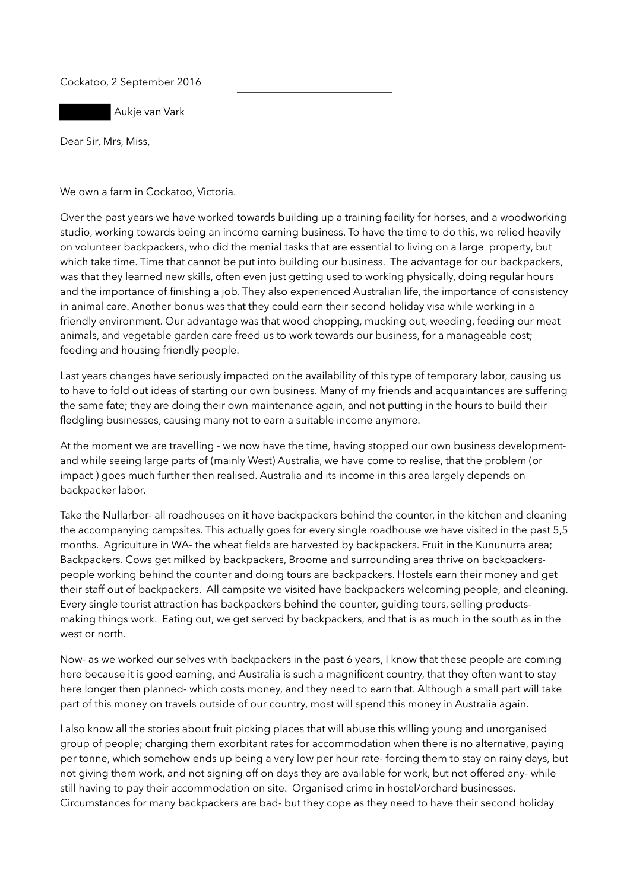Cockatoo, 2 September 2016

Aukje van Vark

Dear Sir, Mrs, Miss,

We own a farm in Cockatoo, Victoria.

Over the past years we have worked towards building up a training facility for horses, and a woodworking studio, working towards being an income earning business. To have the time to do this, we relied heavily on volunteer backpackers, who did the menial tasks that are essential to living on a large property, but which take time. Time that cannot be put into building our business. The advantage for our backpackers, was that they learned new skills, often even just getting used to working physically, doing regular hours and the importance of finishing a job. They also experienced Australian life, the importance of consistency in animal care. Another bonus was that they could earn their second holiday visa while working in a friendly environment. Our advantage was that wood chopping, mucking out, weeding, feeding our meat animals, and vegetable garden care freed us to work towards our business, for a manageable cost; feeding and housing friendly people.

Last years changes have seriously impacted on the availability of this type of temporary labor, causing us to have to fold out ideas of starting our own business. Many of my friends and acquaintances are suffering the same fate; they are doing their own maintenance again, and not putting in the hours to build their fledgling businesses, causing many not to earn a suitable income anymore.

At the moment we are travelling - we now have the time, having stopped our own business developmentand while seeing large parts of (mainly West) Australia, we have come to realise, that the problem (or impact ) goes much further then realised. Australia and its income in this area largely depends on backpacker labor.

Take the Nullarbor- all roadhouses on it have backpackers behind the counter, in the kitchen and cleaning the accompanying campsites. This actually goes for every single roadhouse we have visited in the past 5,5 months. Agriculture in WA- the wheat fields are harvested by backpackers. Fruit in the Kununurra area; Backpackers. Cows get milked by backpackers, Broome and surrounding area thrive on backpackerspeople working behind the counter and doing tours are backpackers. Hostels earn their money and get their staff out of backpackers. All campsite we visited have backpackers welcoming people, and cleaning. Every single tourist attraction has backpackers behind the counter, guiding tours, selling productsmaking things work. Eating out, we get served by backpackers, and that is as much in the south as in the west or north

Now- as we worked our selves with backpackers in the past 6 years, I know that these people are coming here because it is good earning, and Australia is such a magnificent country, that they often want to stay here longer then planned- which costs money, and they need to earn that. Although a small part will take part of this money on travels outside of our country, most will spend this money in Australia again.

I also know all the stories about fruit picking places that will abuse this willing young and unorganised group of people; charging them exorbitant rates for accommodation when there is no alternative, paying per tonne, which somehow ends up being a very low per hour rate- forcing them to stay on rainy days, but not giving them work, and not signing off on days they are available for work, but not offered any- while still having to pay their accommodation on site. Organised crime in hostel/orchard businesses. Circumstances for many backpackers are bad- but they cope as they need to have their second holiday